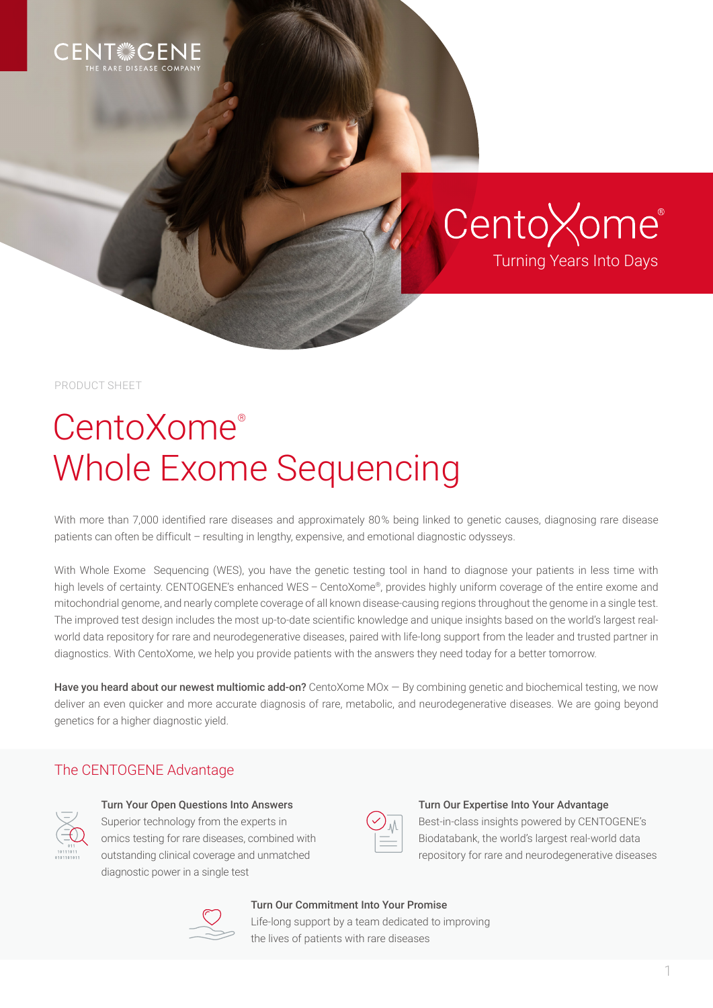

## CentoXome® Turning Years Into Days

PRODUCT SHEET

# CentoXome® Whole Exome Sequencing

With more than 7,000 identified rare diseases and approximately 80% being linked to genetic causes, diagnosing rare disease patients can often be difficult – resulting in lengthy, expensive, and emotional diagnostic odysseys.

With Whole Exome Sequencing (WES), you have the genetic testing tool in hand to diagnose your patients in less time with high levels of certainty. CENTOGENE's enhanced WES - CentoXome®, provides highly uniform coverage of the entire exome and mitochondrial genome, and nearly complete coverage of all known disease-causing regions throughout the genome in a single test. The improved test design includes the most up-to-date scientific knowledge and unique insights based on the world's largest realworld data repository for rare and neurodegenerative diseases, paired with life-long support from the leader and trusted partner in diagnostics. With CentoXome, we help you provide patients with the answers they need today for a better tomorrow.

Have you heard about our newest multiomic add-on? CentoXome  $MOX - By$  combining genetic and biochemical testing, we now deliver an even quicker and more accurate diagnosis of rare, metabolic, and neurodegenerative diseases. We are going beyond genetics for a higher diagnostic yield.

### The CENTOGENE Advantage



#### Turn Your Open Questions Into Answers Superior technology from the experts in omics testing for rare diseases, combined with outstanding clinical coverage and unmatched diagnostic power in a single test



#### Turn Our Expertise Into Your Advantage

Best-in-class insights powered by CENTOGENE's Biodatabank, the world's largest real-world data repository for rare and neurodegenerative diseases

#### Turn Our Commitment Into Your Promise



Life-long support by a team dedicated to improving the lives of patients with rare diseases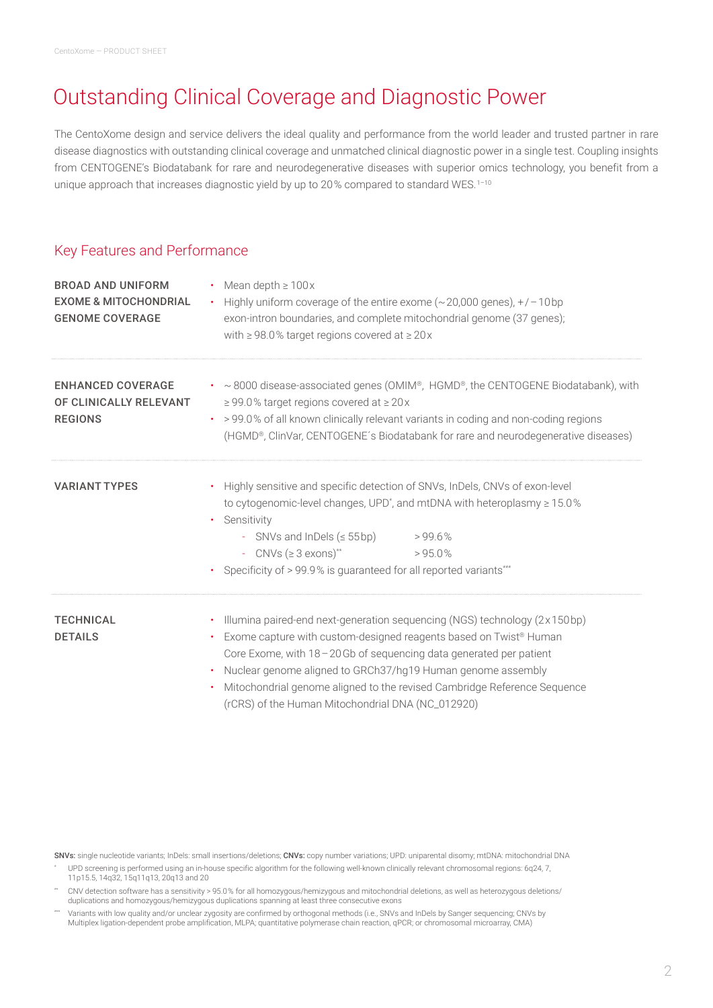### Outstanding Clinical Coverage and Diagnostic Power

The CentoXome design and service delivers the ideal quality and performance from the world leader and trusted partner in rare disease diagnostics with outstanding clinical coverage and unmatched clinical diagnostic power in a single test. Coupling insights from CENTOGENE's Biodatabank for rare and neurodegenerative diseases with superior omics technology, you benefit from a unique approach that increases diagnostic yield by up to 20% compared to standard [WES.](https://www.centogene.com/diagnostics/whole-exome-sequencing)<sup>1-10</sup>

#### Key Features and Performance

| <b>BROAD AND UNIFORM</b><br><b>EXOME &amp; MITOCHONDRIAL</b><br><b>GENOME COVERAGE</b> | Mean depth $\geq 100x$<br>Highly uniform coverage of the entire exome ( $\sim$ 20,000 genes), +/-10 bp<br>$\bullet$ .<br>exon-intron boundaries, and complete mitochondrial genome (37 genes);<br>with $\geq$ 98.0% target regions covered at $\geq$ 20x                                                                                                                                                                                                   |
|----------------------------------------------------------------------------------------|------------------------------------------------------------------------------------------------------------------------------------------------------------------------------------------------------------------------------------------------------------------------------------------------------------------------------------------------------------------------------------------------------------------------------------------------------------|
| <b>ENHANCED COVERAGE</b><br>OF CLINICALLY RELEVANT<br><b>REGIONS</b>                   | • $\sim$ 8000 disease-associated genes (OMIM®, HGMD®, the CENTOGENE Biodatabank), with<br>$\geq$ 99.0% target regions covered at $\geq$ 20x<br>> 99.0% of all known clinically relevant variants in coding and non-coding regions<br>$\bullet$ .<br>(HGMD®, ClinVar, CENTOGENE's Biodatabank for rare and neurodegenerative diseases)                                                                                                                      |
| <b>VARIANT TYPES</b>                                                                   | Highly sensitive and specific detection of SNVs, InDels, CNVs of exon-level<br>to cytogenomic-level changes, UPD*, and mtDNA with heteroplasmy $\geq 15.0\%$<br>Sensitivity<br>$\bullet$<br>- SNVs and InDels $( \leq 55bp )$ > 99.6%<br>- CNVs $( \geq 3 \text{ exons})^{**}$<br>>95.0%<br>Specificity of > 99.9% is guaranteed for all reported variants***                                                                                              |
| <b>TECHNICAL</b><br><b>DETAILS</b>                                                     | Illumina paired-end next-generation sequencing (NGS) technology (2x150 bp)<br>Exome capture with custom-designed reagents based on Twist <sup>®</sup> Human<br>Core Exome, with 18-20Gb of sequencing data generated per patient<br>Nuclear genome aligned to GRCh37/hg19 Human genome assembly<br>$\bullet$<br>Mitochondrial genome aligned to the revised Cambridge Reference Sequence<br>$\bullet$<br>(rCRS) of the Human Mitochondrial DNA (NC_012920) |

SNVs: single nucleotide variants; InDels: small insertions/deletions; CNVs: copy number variations; UPD: uniparental disomy; mtDNA: mitochondrial DNA

- UPD screening is performed using an in-house specific algorithm for the following well-known clinically relevant chromosomal regions: 6q24, 7, 11p15.5, 14q32, 15q11q13, 20q13 and 20
- CNV detection software has a sensitivity > 95.0% for all homozygous/hemizygous and mitochondrial deletions, as well as heterozygous deletions/ duplications and homozygous/hemizygous duplications spanning at least three consecutive exons
- Variants with low quality and/or unclear zygosity are confirmed by orthogonal methods (i.e., SNVs and InDels by Sanger sequencing; CNVs by Multiplex ligation-dependent probe amplification, MLPA; quantitative polymerase chain reaction, qPCR; or chromosomal microarray, CMA)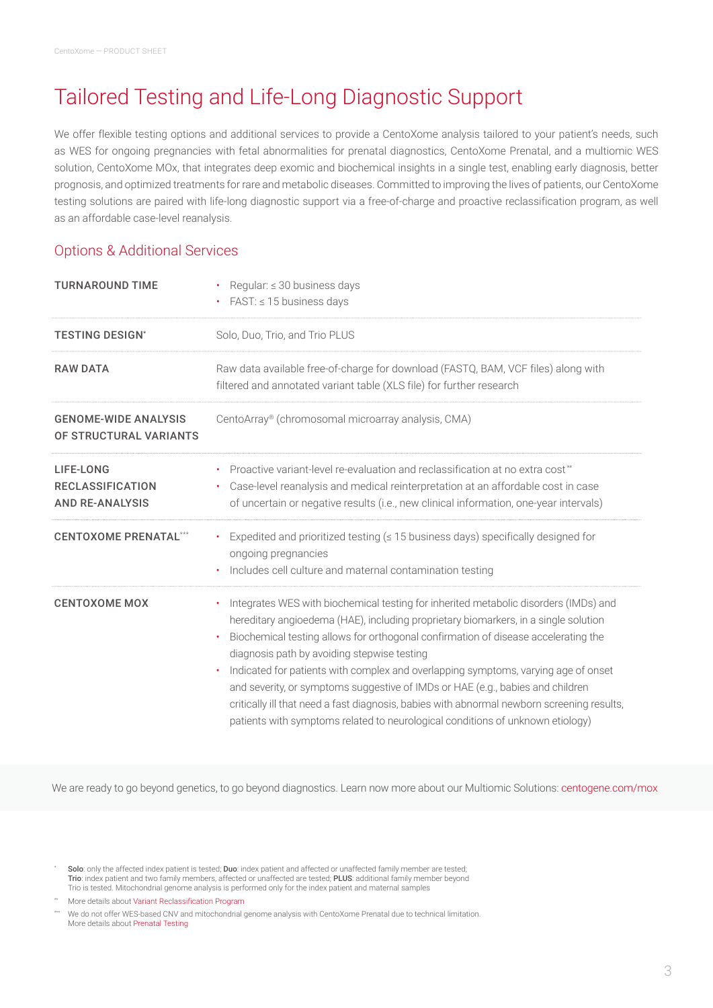## Tailored Testing and Life-Long Diagnostic Support

We offer flexible testing options and additional services to provide a CentoXome analysis tailored to your patient's needs, such as WES for ongoing pregnancies with fetal abnormalities for prenatal diagnostics, CentoXome Prenatal, and a multiomic WES solution, CentoXome MOx, that integrates deep exomic and biochemical insights in a single test, enabling early diagnosis, better prognosis, and optimized treatments for rare and metabolic diseases. Committed to improving the lives of patients, our CentoXome testing solutions are paired with life-long diagnostic support via a free-of-charge and proactive reclassification program, as well as an affordable case-level reanalysis.

#### Options & Additional Services

| <b>TURNAROUND TIME</b>                                         | • Regular: $\leq$ 30 business days<br>FAST: $\leq$ 15 business days                                                                                                                                                                                                                                                                                                                                                                                                                                                                                                                                                                                                      |
|----------------------------------------------------------------|--------------------------------------------------------------------------------------------------------------------------------------------------------------------------------------------------------------------------------------------------------------------------------------------------------------------------------------------------------------------------------------------------------------------------------------------------------------------------------------------------------------------------------------------------------------------------------------------------------------------------------------------------------------------------|
| <b>TESTING DESIGN*</b>                                         | Solo, Duo, Trio, and Trio PLUS                                                                                                                                                                                                                                                                                                                                                                                                                                                                                                                                                                                                                                           |
| <b>RAW DATA</b>                                                | Raw data available free-of-charge for download (FASTQ, BAM, VCF files) along with<br>filtered and annotated variant table (XLS file) for further research                                                                                                                                                                                                                                                                                                                                                                                                                                                                                                                |
| <b>GENOME-WIDE ANALYSIS</b><br>OF STRUCTURAL VARIANTS          | CentoArray® (chromosomal microarray analysis, CMA)                                                                                                                                                                                                                                                                                                                                                                                                                                                                                                                                                                                                                       |
| LIFE-LONG<br><b>RECLASSIFICATION</b><br><b>AND RE-ANALYSIS</b> | • Proactive variant-level re-evaluation and reclassification at no extra cost**<br>Case-level reanalysis and medical reinterpretation at an affordable cost in case<br>of uncertain or negative results (i.e., new clinical information, one-year intervals)                                                                                                                                                                                                                                                                                                                                                                                                             |
| <b>CENTOXOME PRENATAL***</b>                                   | Expedited and prioritized testing ( $\leq$ 15 business days) specifically designed for<br>ongoing pregnancies<br>Includes cell culture and maternal contamination testing                                                                                                                                                                                                                                                                                                                                                                                                                                                                                                |
| <b>CENTOXOME MOX</b>                                           | Integrates WES with biochemical testing for inherited metabolic disorders (IMDs) and<br>hereditary angioedema (HAE), including proprietary biomarkers, in a single solution<br>Biochemical testing allows for orthogonal confirmation of disease accelerating the<br>diagnosis path by avoiding stepwise testing<br>Indicated for patients with complex and overlapping symptoms, varying age of onset<br>and severity, or symptoms suggestive of IMDs or HAE (e.g., babies and children<br>critically ill that need a fast diagnosis, babies with abnormal newborn screening results,<br>patients with symptoms related to neurological conditions of unknown etiology) |

We are ready to go beyond genetics, to go beyond diagnostics. Learn now more about our Multiomic Solutions: [centogene.com/mox](http://centogene.com/mox)

\* Solo: only the affected index patient is tested; Duo: index patient and affected or unaffected family member are tested; Trio: index patient and two family members, affected or unaffected are tested; PLUS: additional family member beyond Trio is tested. Mitochondrial genome analysis is performed only for the index patient and maternal samples

More details about [Variant Reclassification Program](https://www.centogene.com/diagnostics/variant-reclassification-program.html)

<sup>\*\*\*</sup> We do not offer WES-based CNV and mitochondrial genome analysis with CentoXome Prenatal due to technical limitation. More details about [Prenatal Testing](https://www.centogene.com/diagnostics/prenatal-testing.html)